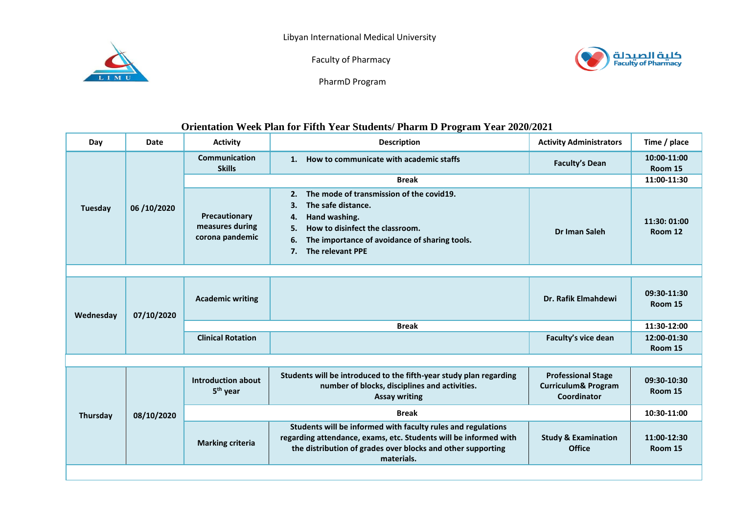



Faculty of Pharmacy



PharmD Program

## **Orientation Week Plan for Fifth Year Students/ Pharm D Program Year 2020/2021**

| Day       | <b>Date</b> | <b>Activity</b>                                     | <b>Description</b>                                                                                                                                                                                                          | <b>Activity Administrators</b>                                             | Time / place            |  |  |  |  |
|-----------|-------------|-----------------------------------------------------|-----------------------------------------------------------------------------------------------------------------------------------------------------------------------------------------------------------------------------|----------------------------------------------------------------------------|-------------------------|--|--|--|--|
| Tuesday   | 06/10/2020  | Communication<br><b>Skills</b>                      | How to communicate with academic staffs<br>1.                                                                                                                                                                               | <b>Faculty's Dean</b>                                                      | 10:00-11:00<br>Room 15  |  |  |  |  |
|           |             | <b>Break</b>                                        |                                                                                                                                                                                                                             |                                                                            | 11:00-11:30             |  |  |  |  |
|           |             | Precautionary<br>measures during<br>corona pandemic | The mode of transmission of the covid19.<br>2.<br>The safe distance.<br>З.<br>Hand washing.<br>4.<br>How to disinfect the classroom.<br>5.<br>The importance of avoidance of sharing tools.<br>6.<br>The relevant PPE<br>7. | Dr Iman Saleh                                                              | 11:30: 01:00<br>Room 12 |  |  |  |  |
|           |             |                                                     |                                                                                                                                                                                                                             |                                                                            |                         |  |  |  |  |
| Wednesday | 07/10/2020  | <b>Academic writing</b>                             |                                                                                                                                                                                                                             | Dr. Rafik Elmahdewi                                                        | 09:30-11:30<br>Room 15  |  |  |  |  |
|           |             | <b>Break</b>                                        |                                                                                                                                                                                                                             |                                                                            |                         |  |  |  |  |
|           |             | <b>Clinical Rotation</b>                            |                                                                                                                                                                                                                             | Faculty's vice dean                                                        | 12:00-01:30<br>Room 15  |  |  |  |  |
|           |             |                                                     |                                                                                                                                                                                                                             |                                                                            |                         |  |  |  |  |
| Thursday  | 08/10/2020  | <b>Introduction about</b><br>5 <sup>th</sup> year   | Students will be introduced to the fifth-year study plan regarding<br>number of blocks, disciplines and activities.<br><b>Assay writing</b>                                                                                 | <b>Professional Stage</b><br><b>Curriculum&amp; Program</b><br>Coordinator | 09:30-10:30<br>Room 15  |  |  |  |  |
|           |             | <b>Break</b>                                        |                                                                                                                                                                                                                             |                                                                            |                         |  |  |  |  |
|           |             | <b>Marking criteria</b>                             | Students will be informed with faculty rules and regulations<br>regarding attendance, exams, etc. Students will be informed with<br>the distribution of grades over blocks and other supporting<br>materials.               | <b>Study &amp; Examination</b><br><b>Office</b>                            | 11:00-12:30<br>Room 15  |  |  |  |  |
|           |             |                                                     |                                                                                                                                                                                                                             |                                                                            |                         |  |  |  |  |